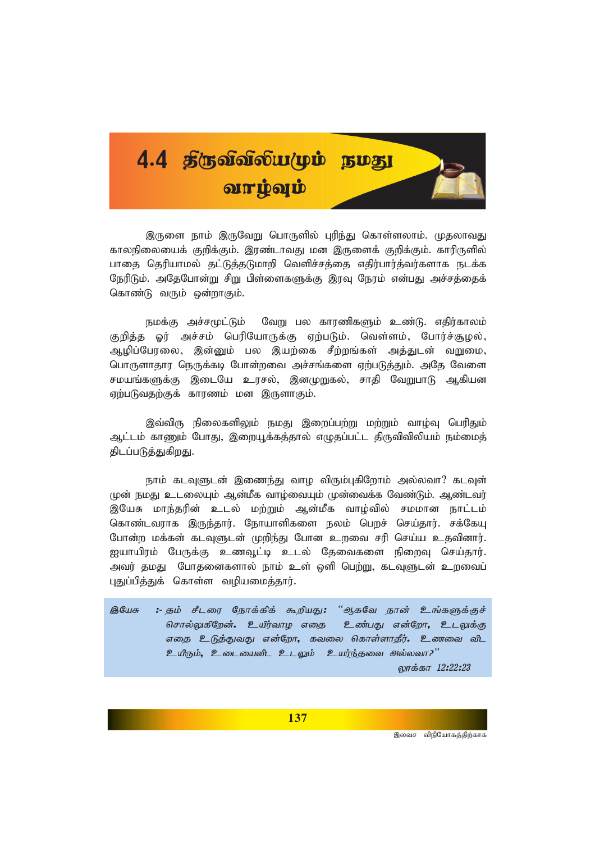

இருளை நாம் இருவேறு பொருளில் புரிந்து கொள்ளலாம். முதலாவது காலநிலையைக் குறிக்கும். இரண்டாவது மன இருளைக் குறிக்கும். காரிருளில் பாதை தெரியாமல் தட்டுத்தடுமாறி வெளிச்சத்தை எதிர்பார்த்வர்களாக நடக்க நேரிடும். அதேபோன்று சிறு பிள்ளைகளுக்கு இரவு நேரம் என்பது அச்சத்தைக் கொண்டு வரும் ஒன்றாகும்.

நமக்கு அச்சமூட்டும் வேறு பல காரணிகளும் உண்டு. எதிர்காலம் குறித்த ஓர் அச்சம் பெரியோருக்கு ஏற்படும். வெள்ளம், போர்ச்சூழல், ஆழிப்பேரலை, இன்னும் பல இயற்கை சீற்றங்கள் அத்துடன் வறுமை, பொருளாதார நெருக்கடி போன்றவை அச்சங்களை ஏற்படுத்தும். அதே வேளை சமயங்களுக்கு இடையே உரசல், இனமுறுகல், சாதி வேறுபாடு ஆகியன ஏற்படுவதற்குக் காரணம் மன இருளாகும்.

இவ்விரு நிலைகளிலும் நமது இறைப்பற்று மற்றும் வாழ்வு பெரிதும் ஆட்டம் காணும் போது, இறையூக்கத்தால் எழுதப்பட்ட திருவிவிலியம் நம்மைத் திடப்படுத்துகிறது.

நாம் கடவுளுடன் இணைந்து வாழ விரும்புகிறோம் அல்லவா? கடவுள் முன் நமது உடலையும் ஆன்மீக வாழ்வையும் முன்வைக்க வேண்டும். ஆண்டவர் இயேசு மாந்தரின் உடல் மற்றும் ஆன்மீக வாழ்வில் சமமான நாட்டம் கொண்டவராக இருந்தார். நோயாளிகளை நலம் பெறச் செய்தார். சக்கேயு போன்ற மக்கள் கடவுளுடன் முறிந்து போன உறவை சரி செய்ய உதவினார். ஐயாயிரம் பேருக்கு உணவூட்டி உடல் தேவைகளை நிறைவு செய்தார். அவர் தமது போதனைகளால் நாம் உள் ஒளி பெற்று, கடவுளுடன் உறவைப் புதுப்பித்துக் கொள்ள வழியமைத்தார்.

தியேசு :- கும் சீடரை நோக்கிக் கூறியது: "ஆகவே நான் உங்களுக்குச் சொல்லுகிறேன். உயிர்வாழ எதை உண்பது என்றோ, உடலுக்கு எதை உடுத்துவது என்றோ, கவலை கொள்ளாதீர். உணவை விட உயிரும், உடையைவிட உடலும் உயர்ந்தவை அல்லவா?" லாக்கா 12:22:23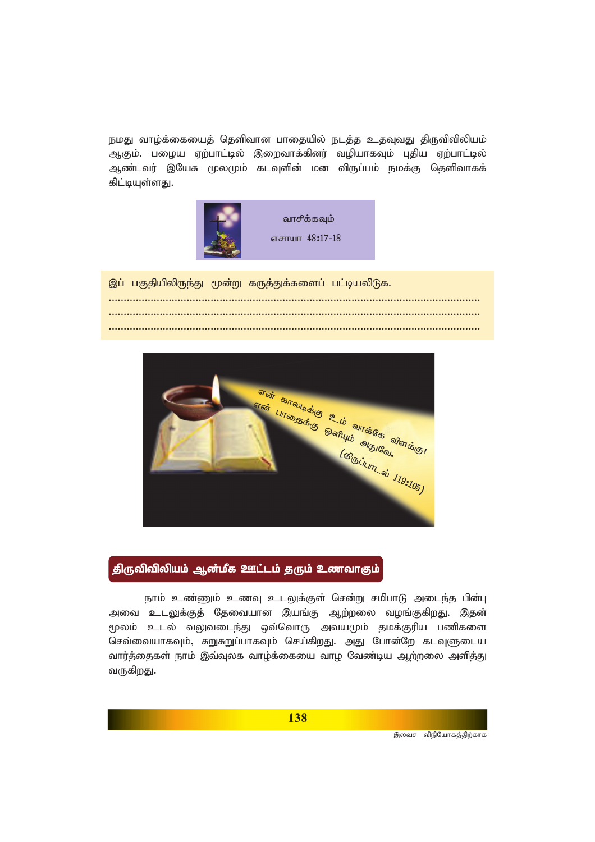நமது வாழ்க்கையைத் தெளிவான பாதையில் நடத்த உதவுவது திருவிவிலியம் ஆகும். பழைய ஏற்பாட்டில் இறைவாக்கினர் வழியாகவும் புதிய ஏற்பாட்டில் ஆண்டவர் இயேசு மூலமும் கடவுளின் மன விருப்பம் நமக்கு தெளிவாகக் கிட்டியுள்ளது.



இப் பகுதியிலிருந்து மூன்று கருத்துக்களைப் பட்டியலிடுக. *............................................................................................................................ ............................................................................................................................ ............................................................................................................................*



திருவிவிலியம் ஆன்மீக ஊட்டம் தரும் உணவாகும்

நாம் உண்ணும் உணவு உடலுக்குள் சென்று சமிபாடு அடைந்த பின்பு அவை உடலுக்குத் தேவையான இயங்கு ஆற்றலை வழங்குகிறது. இதன் மூலம் உடல் வலுவடைந்து ஒவ்வொரு அவயமும் தமக்குரிய பணிகளை செவ்வையாகவும், சுறுசுறுப்பாகவும் செய்கிறது. அது போன்றே கடவுளுடைய வார்த்தைகள் நாம் இவ்வுலக வாழ்க்கையை வாழ வேண்டிய ஆற்றலை அளித்து வருகிறது.

இலவச விநியோகத்திற்காக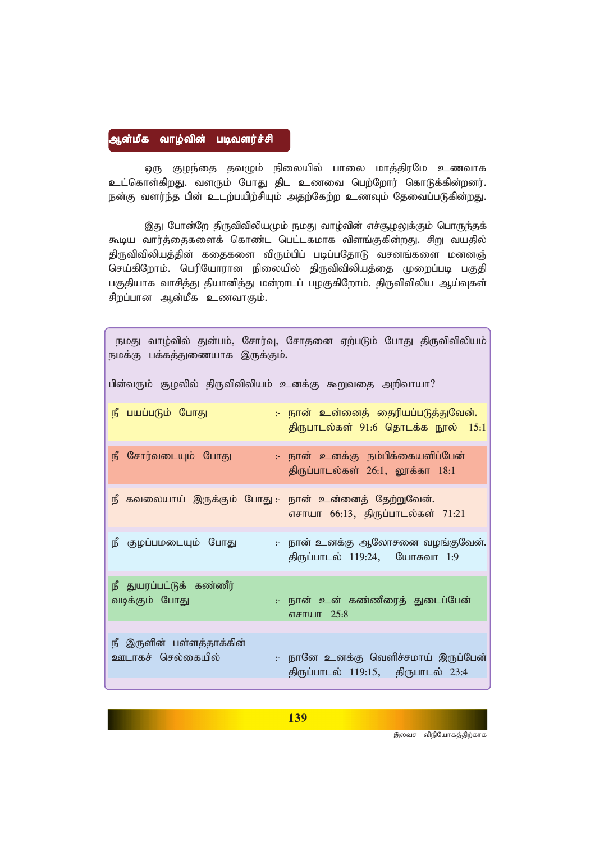## ஆன்மீக வாழ்வின் படிவளர்ச்சி

ஒரு குழந்தை தவழும் நிலையில் பாலை மாத்திரமே உணவாக *cl;nfhs;fpwJ. tsUk; NghJ jpl czit ngw;Nwhu; nfhLf;fpd;wdu;.* நன்கு வளர்ந்த பின் உடற்பயிற்சியும் அதற்கேற்ற உணவும் தேவைப்படுகின்றது.

இது போன்றே திருவிவிலியமும் நமது வாழ்வின் எச்சூழலுக்கும் பொருந்தக் கூடிய வார்த்தைகளைக் கொண்ட பெட்டகமாக விளங்குகின்றது. சிறு வயதில் திருவிவிலியத்தின் கதைகளை விரும்பிப் படிப்பதோடு வசனங்களை மனனஞ் செய்கிறோம். பெரியோரான நிலையில் திருவிவிலியத்தை முறைப்படி பகுதி பகுதியாக வாசித்து தியானித்து மன்றாடப் பழகுகிறோம். திருவிவிலிய ஆய்வுகள் சிறப்பான ஆன்மீக உணவாகும்.

| நமது வாழ்வில் துன்பம், சோர்வு, சோதனை ஏற்படும் போது திருவிவிலியம்<br>நமக்கு பக்கத்துணையாக இருக்கும். |
|-----------------------------------------------------------------------------------------------------|
| பின்வரும் சூழலில் திருவிவிலியம் உனக்கு கூறுவதை அறிவாயா?                                             |
| நீ பயப்படும் போது<br>:- நான் உன்னைத் தைரியப்படுத்துவேன்.<br>திருபாடல்கள் 91:6 தொடக்க நூல் 15:1      |
| :- நான் உனக்கு நம்பிக்கையளிப்பேன்<br>நீ சோர்வடையும் போது<br>திருப்பாடல்கள் 26:1, லூக்கா 18:1        |
| நீ கவலையாய் இருக்கும் போது :- நான் உன்னைத் தேற்றுவேன்.<br>எசாயா 66:13, திருப்பாடல்கள் 71:21         |
| குழப்பமடையும் போது<br>:- நான் உனக்கு ஆலோசனை வழங்குவேன்.<br>நீ<br>திருப்பாடல் 119:24, யோசுவா 1:9     |
| நீ துயரப்பட்டுக் கண்ணீர்<br>:- நான் உன் கண்ணீரைத் துடைப்பேன்<br>வடிக்கும் போது<br>எசாயா 25:8        |
| நீ இருளின் பள்ளத்தாக்கின்                                                                           |
| ஊடாகச் செல்கையில்<br>:- நானே உனக்கு வெளிச்சமாய் இருப்பேன்<br>திருப்பாடல் 119:15, திருபாடல் 23:4     |

இலவச விநியோகத்திற்காக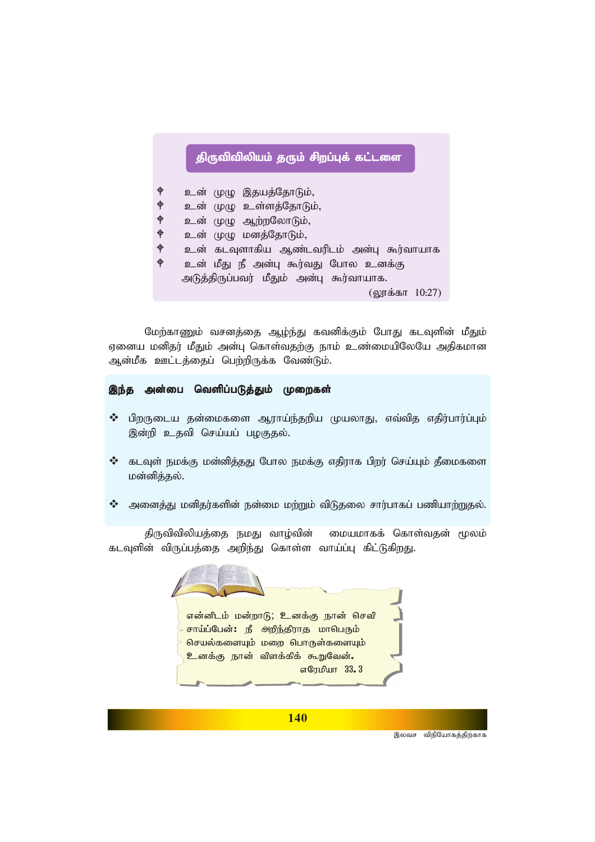## திருவிவிலியம் தரும் சிறப்புக் கட்டளை

♦ உன் முழு இதயத்தோடும், ቀ உன் முழு உள்ளத்தோடும், ቀ உன் முழு ஆற்றலோடும்,  $\ddot{\phi}$ உன் முழு மனத்தோடும்,  $\ddot{\phi}$ உன் கடவுளாகிய ஆண்டவரிடம் அன்பு கூர்வாயாக உன் மீது நீ அன்பு கூர்வது போல உனக்கு அடுத்திருப்பவர் மீதும் அன்பு கூர்வாயாக. (லூக்கா 10:27)

மேற்காணும் வசனத்தை ஆழ்ந்து கவனிக்கும் போது கடவுளின் மீதும் ஏனைய மனிதர் மீதும் அன்பு கொள்வதற்கு நாம் உண்மையிலேயே அதிகமான ஆன்மீக ஊட்டத்தைப் பெற்றிருக்க வேண்டும்.

## இந்த அன்பை வெளிப்படுத்தும் முறைகள்

- $\boldsymbol{\cdot}$ ் பிறருடைய தன்மைகளை ஆராய்ந்தறிய முயலாது, எவ்வித எதிர்பார்ப்பும் இன்றி உதவி செய்யப் பழகுதல்.
- $\boldsymbol{\dot{\cdot}}$  கடவுள் நமக்கு மன்னித்தது போல நமக்கு எதிராக பிறர் செய்யும் தீமைகளை மன்னித்தல்.
- $\boldsymbol{\hat{X}}$  அனைத்து மனிதர்களின் நன்மை மற்றும் விடுதலை சார்பாகப் பணியாற்றுதல்.

திருவிவிலியத்தை நமது வாழ்வின் மையமாகக் கொள்வதன் மூலம் கடவுளின் விருப்பத்தை அறிந்து கொள்ள வாய்ப்பு கிட்டுகிறது.



**140** 

இலவச விநியோகத்திற்காக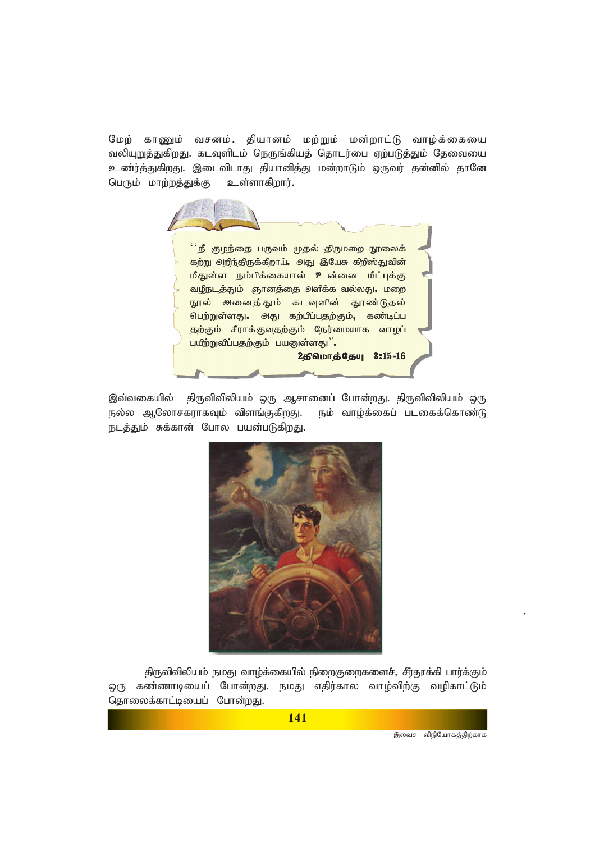மேற் காணும் வசனம், தியானம் மற்றும் மன்றாட்டு வாழ்க்கையை வலியுறுத்துகிறது. கடவுளிடம் நெருங்கியத் தொடர்பை ஏற்படுத்தும் தேவையை உண்ர்த்துகிறது. இடைவிடாது தியானித்து மன்றாடும் ஒருவர் தன்னில் தானே பெரும் மாற்றத்துக்கு உள்ளாகிறார்.



இவ்வகையில் திருவிவிலியம் ஒரு ஆசானைப் போன்றது. திருவிவிலியம் ஒரு நல்ல ஆலோசகராகவும் விளங்குகிறது. நம் வாழ்க்கைப் படகைக்கொண்டு நடத்தும் சுக்கான் போல பயன்படுகிறது.



திருவிவிலியம் நமது வாழ்க்கையில் நிறைகுறைகளைச், சீர்தூக்கி பார்க்கும் ஒரு கண்ணாடியைப் போன்றது. நமது எதிர்கால வாழ்விற்கு வழிகாட்டும் தொலைக்காட்டியைப் போன்றது.

141